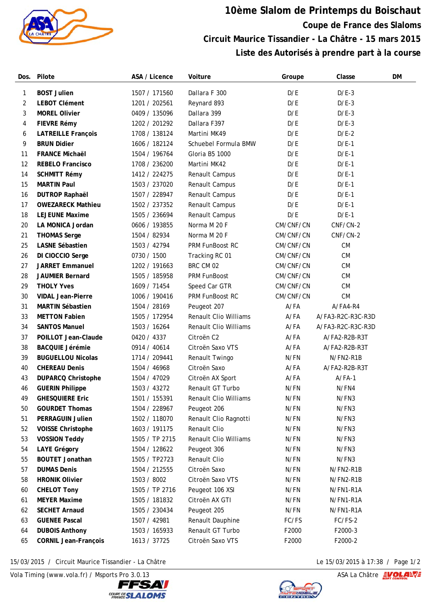

## **10ème Slalom de Printemps du Boischaut Coupe de France des Slaloms Circuit Maurice Tissandier - La Châtre - 15 mars 2015 Liste des Autorisés à prendre part à la course**

| Dos. | Pilote                      | ASA / Licence  | Voiture                      | Groupe    | Classe            | DM |
|------|-----------------------------|----------------|------------------------------|-----------|-------------------|----|
| 1    | <b>BOST Julien</b>          | 1507 / 171560  | Dallara F 300                | D/E       | $D/E-3$           |    |
| 2    | <b>LEBOT Clément</b>        | 1201 / 202561  | Reynard 893                  | D/E       | $D/E-3$           |    |
| 3    | <b>MOREL Olivier</b>        | 0409 / 135096  | Dallara 399                  | D/E       | $D/E-3$           |    |
| 4    | FIEVRE Rémy                 | 1202 / 201292  | Dallara F397                 | D/E       | $D/E-3$           |    |
| 6    | <b>LATREILLE François</b>   | 1708 / 138124  | Martini MK49                 | D/E       | $D/E-2$           |    |
| 9    | <b>BRUN Didier</b>          | 1606 / 182124  | Schuebel Formula BMW         | D/E       | $D/E-1$           |    |
| 11   | <b>FRANCE Michaël</b>       | 1504 / 196764  | Gloria B5 1000               | D/E       | $D/E-1$           |    |
| 12   | <b>REBELO Francisco</b>     | 1708 / 236200  | Martini MK42                 | D/E       | $D/E-1$           |    |
| 14   | <b>SCHMITT Rémy</b>         | 1412 / 224275  | Renault Campus               | D/E       | $D/E-1$           |    |
| 15   | <b>MARTIN Paul</b>          | 1503 / 237020  | Renault Campus               | D/E       | $D/E-1$           |    |
| 16   | <b>DUTROP Raphaël</b>       | 1507 / 228947  | Renault Campus               | D/E       | $D/E-1$           |    |
| 17   | <b>OWEZARECK Mathieu</b>    | 1502 / 237352  | Renault Campus               | D/E       | $D/E-1$           |    |
| 18   | <b>LEJEUNE Maxime</b>       | 1505 / 236694  | Renault Campus               | D/E       | $D/E-1$           |    |
| 20   | LA MONICA Jordan            | 0606 / 193855  | Norma M 20 F                 | CM/CNF/CN | CNF/CN-2          |    |
| 21   | <b>THOMAS Serge</b>         | 1504 / 82934   | Norma M 20 F                 | CM/CNF/CN | CNF/CN-2          |    |
| 25   | <b>LASNE Sébastien</b>      | 1503 / 42794   | PRM FunBoost RC              | CM/CNF/CN | CM                |    |
| 26   | DI CIOCCIO Serge            | 0730 / 1500    | Tracking RC 01               | CM/CNF/CN | CM                |    |
| 27   | <b>JARRET Emmanuel</b>      | 1202 / 191663  | BRC CM 02                    | CM/CNF/CN | CM                |    |
| 28   | <b>JAUMIER Bernard</b>      | 1505 / 185958  | PRM FunBoost                 | CM/CNF/CN | CM                |    |
| 29   | <b>THOLY Yves</b>           | 1609 / 71454   | Speed Car GTR                | CM/CNF/CN | CM                |    |
| 30   | <b>VIDAL Jean-Pierre</b>    | 1006 / 190416  | PRM FunBoost RC              | CM/CNF/CN | CM                |    |
| 31   | <b>MARTIN Sébastien</b>     | 1504 / 28169   | Peugeot 207                  | A/FA      | A/FA4-R4          |    |
| 33   | <b>METTON Fabien</b>        | 1505 / 172954  | <b>Renault Clio Williams</b> | $A$ /FA   | A/FA3-R2C-R3C-R3D |    |
| 34   | <b>SANTOS Manuel</b>        | 1503 / 16264   | <b>Renault Clio Williams</b> | A/FA      | A/FA3-R2C-R3C-R3D |    |
| 37   | POILLOT Jean-Claude         | 0420 / 4337    | Citroën C2                   | A/FA      | A/FA2-R2B-R3T     |    |
| 38   | <b>BACQUIE Jérémie</b>      | 0914 / 40614   | Citroën Saxo VTS             | A/FA      | A/FA2-R2B-R3T     |    |
| 39   | <b>BUGUELLOU Nicolas</b>    | 1714 / 209441  | Renault Twingo               | N/FN      | N/FN2-R1B         |    |
| 40   | <b>CHEREAU Denis</b>        | 1504 / 46968   | Citroën Saxo                 | A/FA      | A/FA2-R2B-R3T     |    |
| 43   | <b>DUPARCQ Christophe</b>   | 1504 / 47029   | Citroën AX Sport             | A/FA      | $A/FA-1$          |    |
| 46   | <b>GUERIN Philippe</b>      | 1503 / 43272   | Renault GT Turbo             | N/FN      | N/FN4             |    |
| 49   | <b>GHESQUIERE Eric</b>      | 1501 / 155391  | Renault Clio Williams        | N/FN      | N/FN3             |    |
| 50   | <b>GOURDET Thomas</b>       | 1504 / 228967  | Peugeot 206                  | N/FN      | N/FN3             |    |
| 51   | <b>PERRAGUIN Julien</b>     | 1502 / 118070  | Renault Clio Ragnotti        | N/FN      | N/FN3             |    |
| 52   | <b>VOISSE Christophe</b>    | 1603 / 191175  | Renault Clio                 | N/FN      | N/FN3             |    |
| 53   | <b>VOSSION Teddy</b>        | 1505 / TP 2715 | <b>Renault Clio Williams</b> | N/FN      | N/FN3             |    |
| 54   | <b>LAYE Grégory</b>         | 1504 / 128622  | Peugeot 306                  | N/FN      | N/FN3             |    |
| 55   | <b>BOUTET Jonathan</b>      | 1505 / TP2723  | Renault Clio                 | N/FN      | N/FN3             |    |
| 57   | <b>DUMAS Denis</b>          | 1504 / 212555  | Citroën Saxo                 | N/FN      | N/FN2-R1B         |    |
| 58   | <b>HRONIK Olivier</b>       | 1503 / 8002    | Citroën Saxo VTS             | N/FN      | N/FN2-R1B         |    |
| 60   | <b>CHELOT Tony</b>          | 1505 / TP 2716 | Peugeot 106 XSI              | N/FN      | N/FN1-R1A         |    |
| 61   | <b>MEYER Maxime</b>         | 1505 / 181832  | Citroën AX GTI               | N/FN      | N/FN1-R1A         |    |
| 62   | <b>SECHET Arnaud</b>        | 1505 / 230434  | Peugeot 205                  | N/FN      | N/FN1-R1A         |    |
| 63   | <b>GUENEE Pascal</b>        | 1507 / 42981   | Renault Dauphine             | FC/FS     | FC/FS-2           |    |
| 64   | <b>DUBOIS Anthony</b>       | 1503 / 165933  | Renault GT Turbo             | F2000     | F2000-3           |    |
| 65   | <b>CORNIL Jean-François</b> | 1613 / 37725   | Citroën Saxo VTS             | F2000     | F2000-2           |    |

15/03/2015 / Circuit Maurice Tissandier - La Châtre Le 15/03/2015 à 17:38 / Page 1/2

Vola Timing (www.vola.fr) / Msports Pro 3.0.13 ASA La Châtre **EVOLANT**